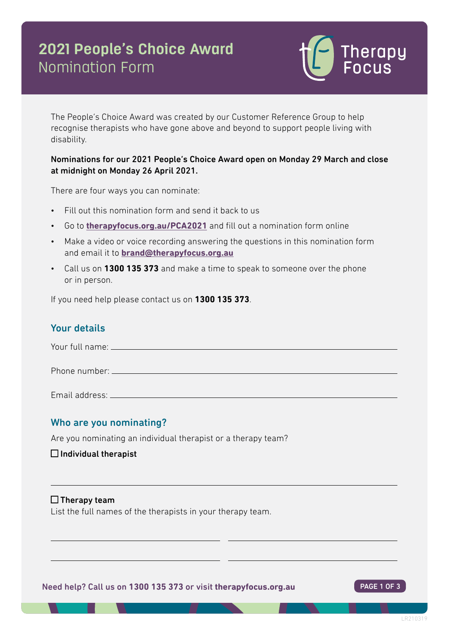

The People's Choice Award was created by our Customer Reference Group to help recognise therapists who have gone above and beyond to support people living with disability.

### Nominations for our 2021 People's Choice Award open on Monday 29 March and close at midnight on Monday 26 April 2021.

There are four ways you can nominate:

- Fill out this nomination form and send it back to us
- Go to **[therapyfocus.org.au/PCA2021](https://therapyfocus.org.au/PCA2021)** and fill out a nomination form online
- Make a video or voice recording answering the questions in this nomination form and email it to **[brand@therapyfocus.org.au](mailto:brand%40therapyfocus.org.au?subject=2021%20People%E2%80%99s%20Choice%20Award)**
- Call us on **1300 135 373** and make a time to speak to someone over the phone or in person.

If you need help please contact us on **1300 135 373**.

## Your details

Your full name:

Phone number:

Email address:

 $\overline{\phantom{0}}$ 

l,

# Who are you nominating?

Are you nominating an individual therapist or a therapy team?

#### $\square$  Individual therapist

#### $\Box$  Therapy team List the full names of the therapists in your therapy team.

Need help? Call us on **1300 135 373** or visit **therapyfocus.org.au** PAGE 1 OF 3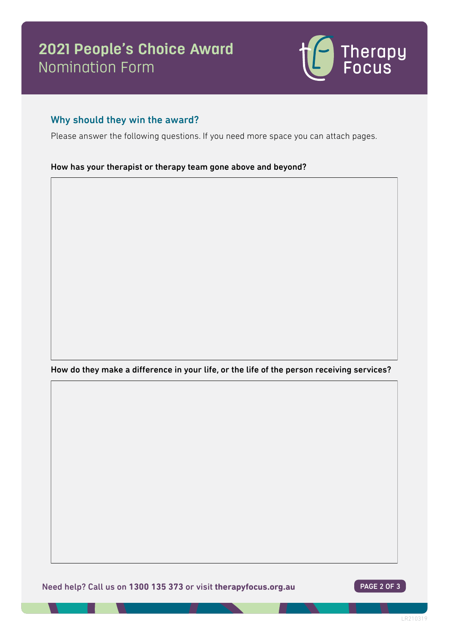

### Why should they win the award?

Please answer the following questions. If you need more space you can attach pages.

#### How has your therapist or therapy team gone above and beyond?

How do they make a difference in your life, or the life of the person receiving services?

Need help? Call us on **1300 135 373** or visit **therapyfocus.org.au** PAGE 2 OF 3